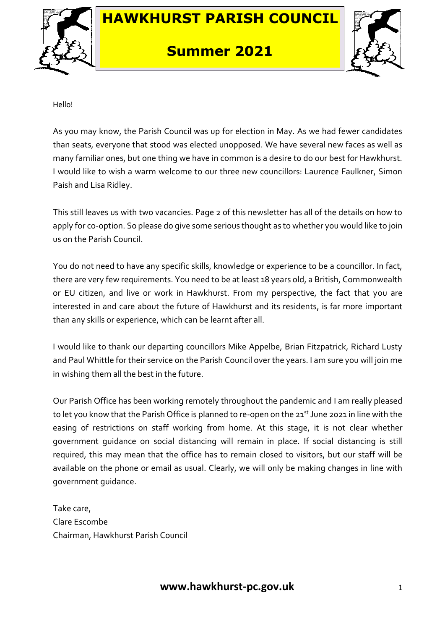

# **HAWKHURST PARISH COUNCIL**

### **Summer 2021**



Hello!

As you may know, the Parish Council was up for election in May. As we had fewer candidates than seats, everyone that stood was elected unopposed. We have several new faces as well as many familiar ones, but one thing we have in common is a desire to do our best for Hawkhurst. I would like to wish a warm welcome to our three new councillors: Laurence Faulkner, Simon Paish and Lisa Ridley.

This still leaves us with two vacancies. Page 2 of this newsletter has all of the details on how to apply for co-option. So please do give some serious thought as to whether you would like to join us on the Parish Council.

You do not need to have any specific skills, knowledge or experience to be a councillor. In fact, there are very few requirements. You need to be at least 18 years old, a British, Commonwealth or EU citizen, and live or work in Hawkhurst. From my perspective, the fact that you are interested in and care about the future of Hawkhurst and its residents, is far more important than any skills or experience, which can be learnt after all.

I would like to thank our departing councillors Mike Appelbe, Brian Fitzpatrick, Richard Lusty and Paul Whittle for their service on the Parish Council over the years. I am sure you will join me in wishing them all the best in the future.

Our Parish Office has been working remotely throughout the pandemic and I am really pleased to let you know that the Parish Office is planned to re-open on the 21<sup>st</sup> June 2021 in line with the easing of restrictions on staff working from home. At this stage, it is not clear whether government guidance on social distancing will remain in place. If social distancing is still required, this may mean that the office has to remain closed to visitors, but our staff will be available on the phone or email as usual. Clearly, we will only be making changes in line with government guidance.

Take care, Clare Escombe Chairman, Hawkhurst Parish Council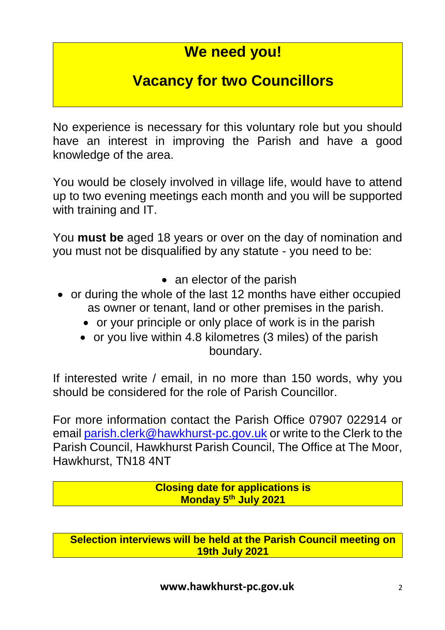## **We need you!**

## **Vacancy for two Councillors**

No experience is necessary for this voluntary role but you should have an interest in improving the Parish and have a good knowledge of the area.

You would be closely involved in village life, would have to attend up to two evening meetings each month and you will be supported with training and IT.

You **must be** aged 18 years or over on the day of nomination and you must not be disqualified by any statute - you need to be:

- an elector of the parish
- or during the whole of the last 12 months have either occupied as owner or tenant, land or other premises in the parish.
	- or your principle or only place of work is in the parish
	- or you live within 4.8 kilometres (3 miles) of the parish boundary.

If interested write / email, in no more than 150 words, why you should be considered for the role of Parish Councillor.

For more information contact the Parish Office 07907 022914 or email [parish.clerk@hawkhurst-pc.gov.uk](mailto:parish.clerk@hawkhurst-pc.gov.uk) or write to the Clerk to the Parish Council, Hawkhurst Parish Council, The Office at The Moor, Hawkhurst, TN18 4NT

> **Closing date for applications is Monday 5th July 2021**

**Selection interviews will be held at the Parish Council meeting on 19th July 2021**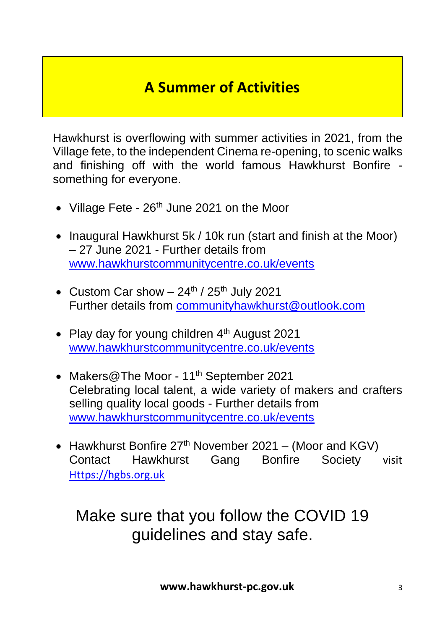# **A Summer of Activities**

Hawkhurst is overflowing with summer activities in 2021, from the Village fete, to the independent Cinema re-opening, to scenic walks and finishing off with the world famous Hawkhurst Bonfire something for everyone.

- Village Fete  $26<sup>th</sup>$  June 2021 on the Moor
- Inaugural Hawkhurst 5k / 10k run (start and finish at the Moor) – 27 June 2021 - Further details from [www.hawkhurstcommunitycentre.co.uk/events](http://www.hawkhurstcommunitycentre.co.uk/events)
- Custom Car show  $-24^{\text{th}}$  /  $25^{\text{th}}$  July 2021 Further details from [communityhawkhurst@outlook.com](mailto:communityhawkhurst@outlook.com)
- Play day for young children 4<sup>th</sup> August 2021 [www.hawkhurstcommunitycentre.co.uk/events](http://www.hawkhurstcommunitycentre.co.uk/events)
- Makers@The Moor 11<sup>th</sup> September 2021 Celebrating local talent, a wide variety of makers and crafters selling quality local goods - Further details from [www.hawkhurstcommunitycentre.co.uk/events](http://www.hawkhurstcommunitycentre.co.uk/events)
- Hawkhurst Bonfire  $27<sup>th</sup>$  November 2021 (Moor and KGV) Contact Hawkhurst Gang Bonfire Society visit [Https://hgbs.org.uk](https://hgbs.org.uk/)

Make sure that you follow the COVID 19 guidelines and stay safe.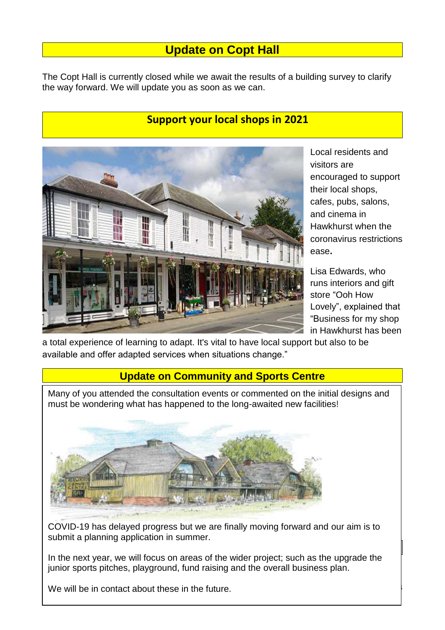### **Update on Copt Hall**

The Copt Hall is currently closed while we await the results of a building survey to clarify the way forward. We will update you as soon as we can.

#### **Support your local shops in 2021**



Local residents and visitors are encouraged to support their local shops, cafes, pubs, salons, and cinema in Hawkhurst when the coronavirus restrictions ease**.**

Lisa Edwards, who runs interiors and gift store "Ooh How Lovely", explained that "Business for my shop in Hawkhurst has been

a total experience of learning to adapt. It's vital to have local support but also to be available and offer adapted services when situations change."

#### **Update on Community and Sports Centre**

Many of you attended the consultation events or commented on the initial designs and must be wondering what has happened to the long-awaited new facilities!



COVID-19 has delayed progress but we are finally moving forward and our aim is to submit a planning application in summer.

In the next year, we will focus on areas of the wider project; such as the upgrade the junior sports pitches, playground, fund raising and the overall business plan.

We will be in contact about these in the future.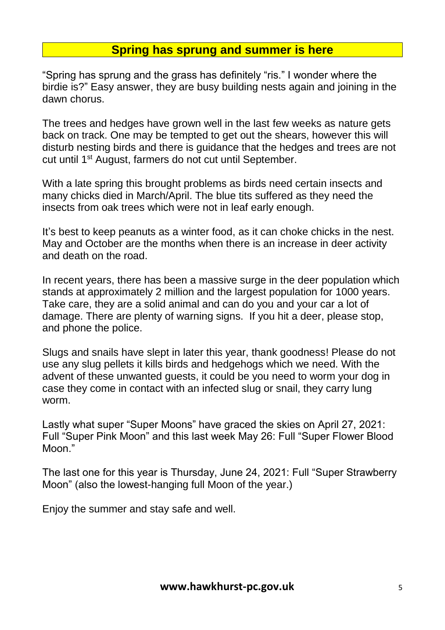### **Spring has sprung and summer is here**

"Spring has sprung and the grass has definitely "ris." I wonder where the birdie is?" Easy answer, they are busy building nests again and joining in the dawn chorus.

The trees and hedges have grown well in the last few weeks as nature gets back on track. One may be tempted to get out the shears, however this will disturb nesting birds and there is guidance that the hedges and trees are not cut until 1st August, farmers do not cut until September.

With a late spring this brought problems as birds need certain insects and many chicks died in March/April. The blue tits suffered as they need the insects from oak trees which were not in leaf early enough.

It's best to keep peanuts as a winter food, as it can choke chicks in the nest. May and October are the months when there is an increase in deer activity and death on the road.

In recent years, there has been a massive surge in the deer population which stands at approximately 2 million and the largest population for 1000 years. Take care, they are a solid animal and can do you and your car a lot of damage. There are plenty of warning signs. If you hit a deer, please stop, and phone the police.

Slugs and snails have slept in later this year, thank goodness! Please do not use any slug pellets it kills birds and hedgehogs which we need. With the advent of these unwanted guests, it could be you need to worm your dog in case they come in contact with an infected slug or snail, they carry lung worm.

Lastly what super "Super Moons" have graced the skies on April 27, 2021: Full "Super Pink Moon" and this last week May 26: Full "Super Flower Blood Moon."

The last one for this year is Thursday, June 24, 2021: Full "Super Strawberry Moon" (also the lowest-hanging full Moon of the year.)

Enjoy the summer and stay safe and well.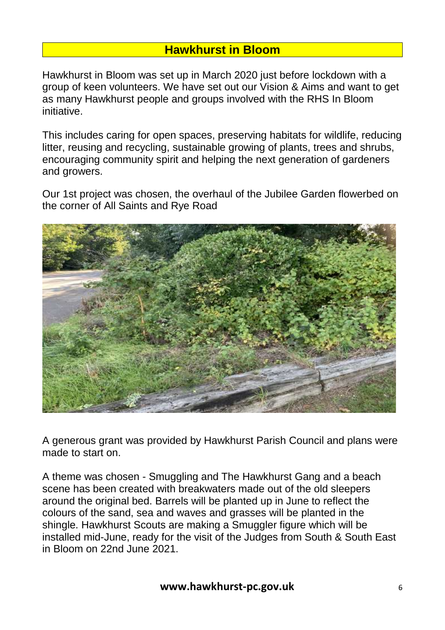### **Hawkhurst in Bloom**

Hawkhurst in Bloom was set up in March 2020 just before lockdown with a group of keen volunteers. We have set out our Vision & Aims and want to get as many Hawkhurst people and groups involved with the RHS In Bloom initiative.

This includes caring for open spaces, preserving habitats for wildlife, reducing litter, reusing and recycling, sustainable growing of plants, trees and shrubs, encouraging community spirit and helping the next generation of gardeners and growers.

Our 1st project was chosen, the overhaul of the Jubilee Garden flowerbed on the corner of All Saints and Rye Road



A generous grant was provided by Hawkhurst Parish Council and plans were made to start on.

A theme was chosen - Smuggling and The Hawkhurst Gang and a beach scene has been created with breakwaters made out of the old sleepers around the original bed. Barrels will be planted up in June to reflect the colours of the sand, sea and waves and grasses will be planted in the shingle. Hawkhurst Scouts are making a Smuggler figure which will be installed mid-June, ready for the visit of the Judges from South & South East in Bloom on 22nd June 2021.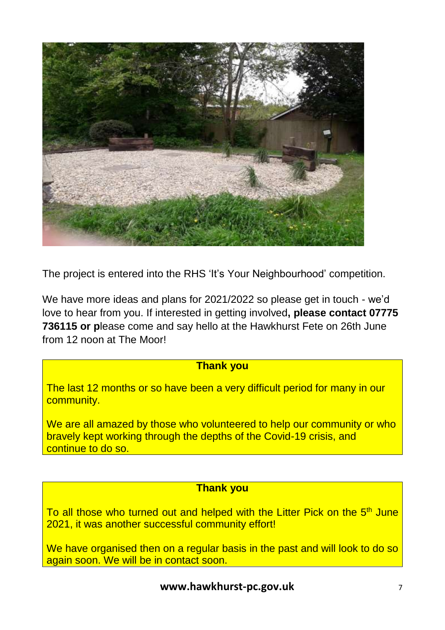

The project is entered into the RHS 'It's Your Neighbourhood' competition.

We have more ideas and plans for 2021/2022 so please get in touch - we'd love to hear from you. If interested in getting involved**, please contact 07775 736115 or p**lease come and say hello at the Hawkhurst Fete on 26th June from 12 noon at The Moor!

#### **Thank you**

The last 12 months or so have been a very difficult period for many in our community.

We are all amazed by those who volunteered to help our community or who bravely kept working through the depths of the Covid-19 crisis, and continue to do so.

#### **Thank you**

To all those who turned out and helped with the Litter Pick on the 5<sup>th</sup> June 2021, it was another successful community effort!

We have organised then on a regular basis in the past and will look to do so again soon. We will be in contact soon.